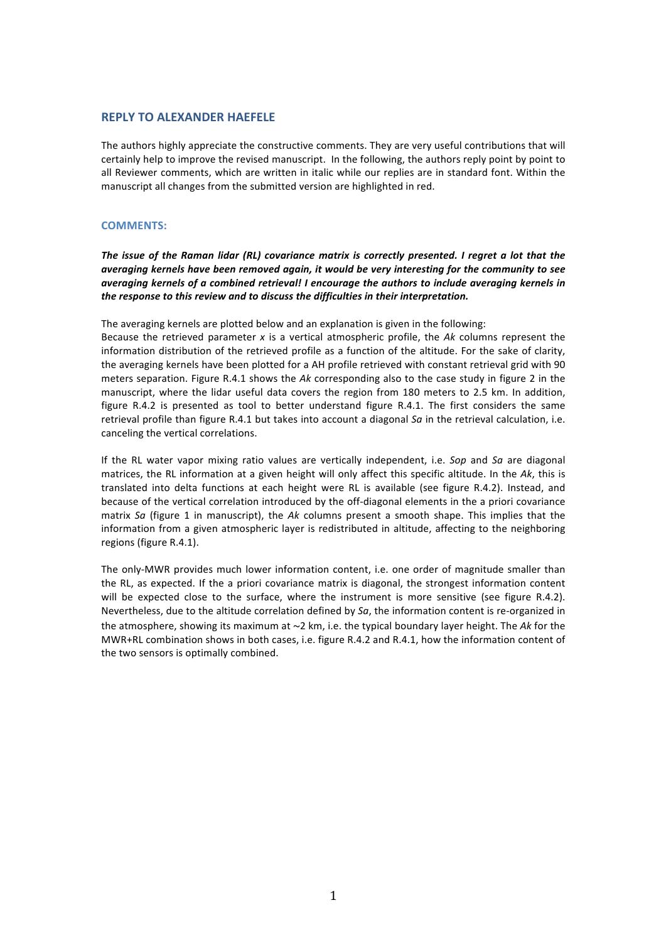# **REPLY TO ALEXANDER HAEFELE**

The authors highly appreciate the constructive comments. They are very useful contributions that will certainly help to improve the revised manuscript. In the following, the authors reply point by point to all Reviewer comments, which are written in italic while our replies are in standard font. Within the manuscript all changes from the submitted version are highlighted in red.

# **COMMENTS:**

The issue of the Raman lidar (RL) covariance matrix is correctly presented. I regret a lot that the averaging kernels have been removed again, it would be very interesting for the community to see *averaging kernels of a combined retrieval! I encourage the authors to include averaging kernels in the response to this review and to discuss the difficulties in their interpretation.* 

The averaging kernels are plotted below and an explanation is given in the following:

Because the retrieved parameter x is a vertical atmospheric profile, the Ak columns represent the information distribution of the retrieved profile as a function of the altitude. For the sake of clarity, the averaging kernels have been plotted for a AH profile retrieved with constant retrieval grid with 90 meters separation. Figure R.4.1 shows the Ak corresponding also to the case study in figure 2 in the manuscript, where the lidar useful data covers the region from 180 meters to 2.5 km. In addition, figure  $R.4.2$  is presented as tool to better understand figure  $R.4.1$ . The first considers the same retrieval profile than figure R.4.1 but takes into account a diagonal Sa in the retrieval calculation, i.e. canceling the vertical correlations.

If the RL water vapor mixing ratio values are vertically independent, i.e. *Sop* and *Sa* are diagonal matrices, the RL information at a given height will only affect this specific altitude. In the Ak, this is translated into delta functions at each height were RL is available (see figure R.4.2). Instead, and because of the vertical correlation introduced by the off-diagonal elements in the a priori covariance matrix Sa (figure 1 in manuscript), the Ak columns present a smooth shape. This implies that the information from a given atmospheric layer is redistributed in altitude, affecting to the neighboring regions (figure R.4.1).

The only-MWR provides much lower information content, i.e. one order of magnitude smaller than the RL, as expected. If the a priori covariance matrix is diagonal, the strongest information content will be expected close to the surface, where the instrument is more sensitive (see figure R.4.2). Nevertheless, due to the altitude correlation defined by *Sa*, the information content is re-organized in the atmosphere, showing its maximum at ~2 km, i.e. the typical boundary layer height. The Ak for the MWR+RL combination shows in both cases, i.e. figure R.4.2 and R.4.1, how the information content of the two sensors is optimally combined.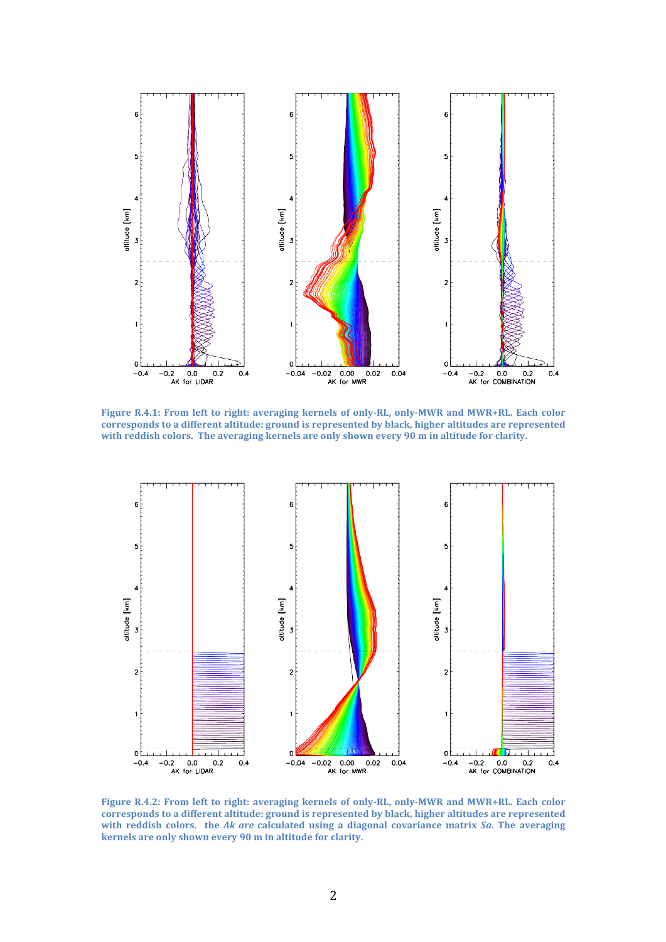

Figure R.4.1: From left to right: averaging kernels of only-RL, only-MWR and MWR+RL. Each color corresponds to a different altitude: ground is represented by black, higher altitudes are represented with reddish colors. The averaging kernels are only shown every 90 m in altitude for clarity.



Figure R.4.2: From left to right: averaging kernels of only-RL, only-MWR and MWR+RL. Each color corresponds to a different altitude: ground is represented by black, higher altitudes are represented with reddish colors. the Ak are calculated using a diagonal covariance matrix  $Sa$ . The averaging **kernels** are only shown every 90 m in altitude for clarity.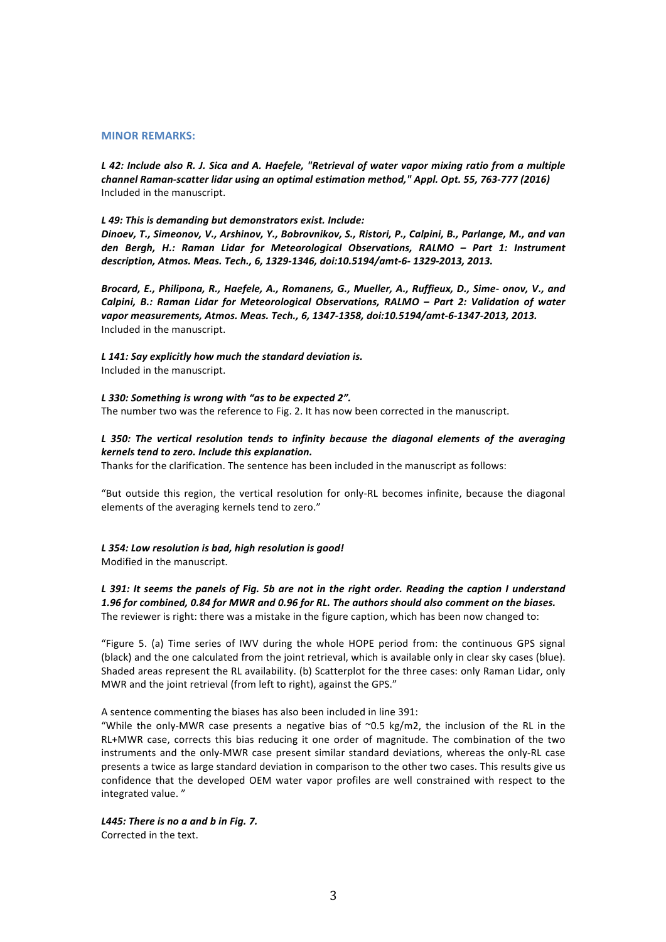#### **MINOR REMARKS:**

*L* 42: Include also R. J. Sica and A. Haefele, "Retrieval of water vapor mixing ratio from a multiple channel Raman-scatter lidar using an optimal estimation method," Appl. Opt. 55, 763-777 (2016) Included in the manuscript.

#### L 49: This is demanding but demonstrators exist. Include:

Dinoev, T., Simeonov, V., Arshinov, Y., Bobrovnikov, S., Ristori, P., Calpini, B., Parlange, M., and van *den Bergh, H.: Raman Lidar for Meteorological Observations, RALMO – Part 1: Instrument description, Atmos. Meas. Tech., 6, 1329-1346, doi:10.5194/amt-6- 1329-2013, 2013.* 

Brocard, E., Philipona, R., Haefele, A., Romanens, G., Mueller, A., Ruffieux, D., Sime- onov, V., and *Calpini, B.: Raman Lidar for Meteorological Observations, RALMO - Part 2: Validation of water* vapor measurements, Atmos. Meas. Tech., 6, 1347-1358, doi:10.5194/amt-6-1347-2013, 2013. Included in the manuscript.

#### L 141: Say explicitly how much the standard deviation is.

Included in the manuscript.

L 330: Something is wrong with "as to be expected 2". The number two was the reference to Fig. 2. It has now been corrected in the manuscript.

### *L* 350: The vertical resolution tends to infinity because the diagonal elements of the averaging *kernels tend to zero. Include this explanation.*

Thanks for the clarification. The sentence has been included in the manuscript as follows:

"But outside this region, the vertical resolution for only-RL becomes infinite, because the diagonal elements of the averaging kernels tend to zero."

## L 354: Low resolution is bad, high resolution is good!

Modified in the manuscript.

*L* 391: It seems the panels of Fig. 5b are not in the right order. Reading the caption I understand 1.96 for combined, 0.84 for MWR and 0.96 for RL. The authors should also comment on the biases. The reviewer is right: there was a mistake in the figure caption, which has been now changed to:

"Figure 5. (a) Time series of IWV during the whole HOPE period from: the continuous GPS signal (black) and the one calculated from the joint retrieval, which is available only in clear sky cases (blue). Shaded areas represent the RL availability. (b) Scatterplot for the three cases: only Raman Lidar, only MWR and the joint retrieval (from left to right), against the GPS."

A sentence commenting the biases has also been included in line 391:

"While the only-MWR case presents a negative bias of  $\sim$ 0.5 kg/m2, the inclusion of the RL in the RL+MWR case, corrects this bias reducing it one order of magnitude. The combination of the two instruments and the only-MWR case present similar standard deviations, whereas the only-RL case presents a twice as large standard deviation in comparison to the other two cases. This results give us confidence that the developed OEM water vapor profiles are well constrained with respect to the integrated value."

*L445: There is no a and b in Fig. 7.*  Corrected in the text.